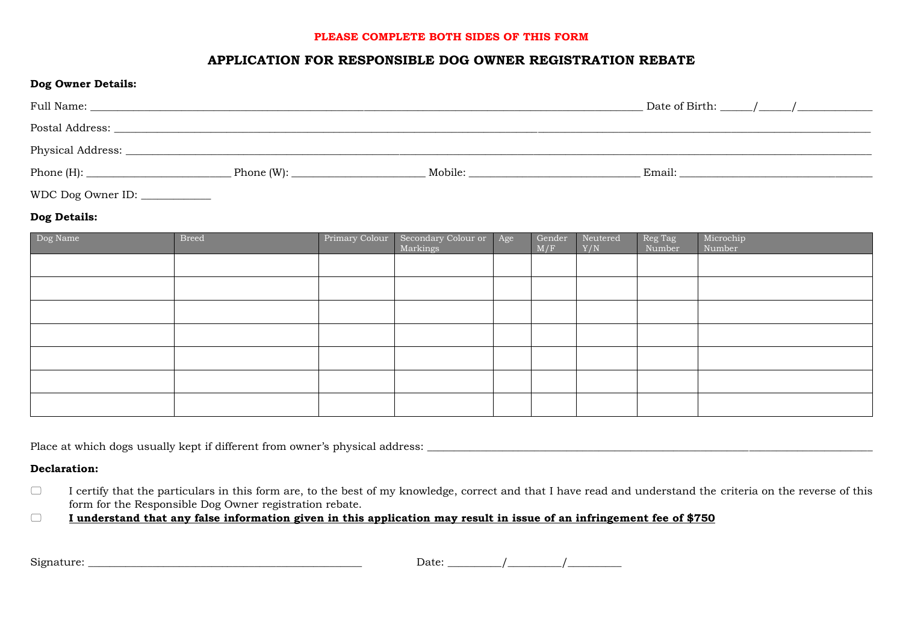### **PLEASE COMPLETE BOTH SIDES OF THIS FORM**

# **APPLICATION FOR RESPONSIBLE DOG OWNER REGISTRATION REBATE**

| <b>Dog Owner Details:</b> |               |         |        |
|---------------------------|---------------|---------|--------|
|                           |               |         |        |
|                           |               |         |        |
| Physical Address:         |               |         |        |
| Phone $(H)$ :             | Phone $(W)$ : | Mobile: | Email: |

WDC Dog Owner ID: \_\_\_\_\_\_\_\_\_\_\_\_\_\_

## **Dog Details:**

| Dog Name | <b>Breed</b> | Primary Colour | Secondary Colour or Age<br>Markings | Gender<br>M/F | Neutered<br>Y/N | Reg Tag<br>Number | Microchip<br>Number |
|----------|--------------|----------------|-------------------------------------|---------------|-----------------|-------------------|---------------------|
|          |              |                |                                     |               |                 |                   |                     |
|          |              |                |                                     |               |                 |                   |                     |
|          |              |                |                                     |               |                 |                   |                     |
|          |              |                |                                     |               |                 |                   |                     |
|          |              |                |                                     |               |                 |                   |                     |
|          |              |                |                                     |               |                 |                   |                     |
|          |              |                |                                     |               |                 |                   |                     |

Place at which dogs usually kept if different from owner's physical address: \_\_\_\_\_\_\_\_\_\_\_\_\_\_\_\_\_\_\_\_\_\_\_\_\_\_\_\_\_\_\_\_\_\_\_\_\_\_\_\_\_\_\_\_\_\_\_\_\_\_\_\_\_\_\_\_\_\_\_\_\_\_\_\_\_\_\_\_\_\_\_\_\_\_\_\_\_\_\_\_\_\_\_

#### **Declaration:**

 $\Box$  I certify that the particulars in this form are, to the best of my knowledge, correct and that I have read and understand the criteria on the reverse of this form for the Responsible Dog Owner registration rebate.

**I understand that any false information given in this application may result in issue of an infringement fee of \$750**

| $\sim \cdot$<br>Sıgnature <sup>.</sup> | Date: |  |
|----------------------------------------|-------|--|
|                                        |       |  |